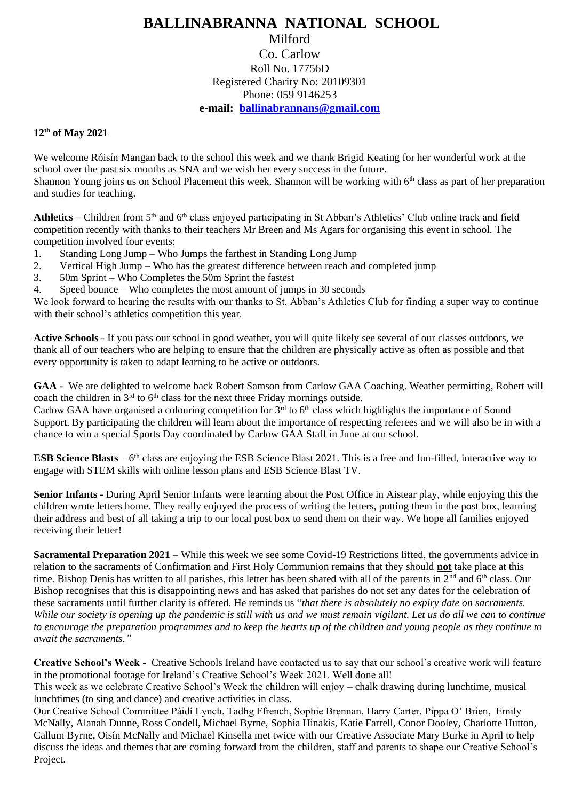## **BALLINABRANNA NATIONAL SCHOOL** Milford Co. Carlow Roll No. 17756D Registered Charity No: 20109301 Phone: 059 9146253 **e-mail: [ballinabrannans@gmail.com](mailto:ballinabrannans@gmail.com)**

## **12th of May 2021**

We welcome Róisín Mangan back to the school this week and we thank Brigid Keating for her wonderful work at the school over the past six months as SNA and we wish her every success in the future. Shannon Young joins us on School Placement this week. Shannon will be working with  $6<sup>th</sup>$  class as part of her preparation and studies for teaching.

Athletics – Children from 5<sup>th</sup> and 6<sup>th</sup> class enjoyed participating in St Abban's Athletics' Club online track and field competition recently with thanks to their teachers Mr Breen and Ms Agars for organising this event in school. The competition involved four events:

- 1. Standing Long Jump Who Jumps the farthest in Standing Long Jump
- 2. Vertical High Jump Who has the greatest difference between reach and completed jump
- 3. 50m Sprint Who Completes the 50m Sprint the fastest
- 4. Speed bounce Who completes the most amount of jumps in 30 seconds

We look forward to hearing the results with our thanks to St. Abban's Athletics Club for finding a super way to continue with their school's athletics competition this year.

**Active Schools** - If you pass our school in good weather, you will quite likely see several of our classes outdoors, we thank all of our teachers who are helping to ensure that the children are physically active as often as possible and that every opportunity is taken to adapt learning to be active or outdoors.

**GAA -** We are delighted to welcome back Robert Samson from Carlow GAA Coaching. Weather permitting, Robert will coach the children in  $3<sup>rd</sup>$  to  $6<sup>th</sup>$  class for the next three Friday mornings outside.

Carlow GAA have organised a colouring competition for  $3<sup>rd</sup>$  to  $6<sup>th</sup>$  class which highlights the importance of Sound Support. By participating the children will learn about the importance of respecting referees and we will also be in with a chance to win a special Sports Day coordinated by Carlow GAA Staff in June at our school.

**ESB Science Blasts** – 6<sup>th</sup> class are enjoying the ESB Science Blast 2021. This is a free and fun-filled, interactive way to engage with STEM skills with online lesson plans and ESB Science Blast TV.

**Senior Infants** - During April Senior Infants were learning about the Post Office in Aistear play, while enjoying this the children wrote letters home. They really enjoyed the process of writing the letters, putting them in the post box, learning their address and best of all taking a trip to our local post box to send them on their way. We hope all families enjoyed receiving their letter!

**Sacramental Preparation 2021** – While this week we see some Covid-19 Restrictions lifted, the governments advice in relation to the sacraments of Confirmation and First Holy Communion remains that they should **not** take place at this time. Bishop Denis has written to all parishes, this letter has been shared with all of the parents in  $2^{nd}$  and  $6^{th}$  class. Our Bishop recognises that this is disappointing news and has asked that parishes do not set any dates for the celebration of these sacraments until further clarity is offered. He reminds us "*that there is absolutely no expiry date on sacraments. While our society is opening up the pandemic is still with us and we must remain vigilant. Let us do all we can to continue to encourage the preparation programmes and to keep the hearts up of the children and young people as they continue to await the sacraments."*

**Creative School's Week** - Creative Schools Ireland have contacted us to say that our school's creative work will feature in the promotional footage for Ireland's Creative School's Week 2021. Well done all!

This week as we celebrate Creative School's Week the children will enjoy – chalk drawing during lunchtime, musical lunchtimes (to sing and dance) and creative activities in class.

Our Creative School Committee Páidí Lynch, Tadhg Ffrench, Sophie Brennan, Harry Carter, Pippa O' Brien, Emily McNally, Alanah Dunne, Ross Condell, Michael Byrne, Sophia Hinakis, Katie Farrell, Conor Dooley, Charlotte Hutton, Callum Byrne, Oisín McNally and Michael Kinsella met twice with our Creative Associate Mary Burke in April to help discuss the ideas and themes that are coming forward from the children, staff and parents to shape our Creative School's Project.